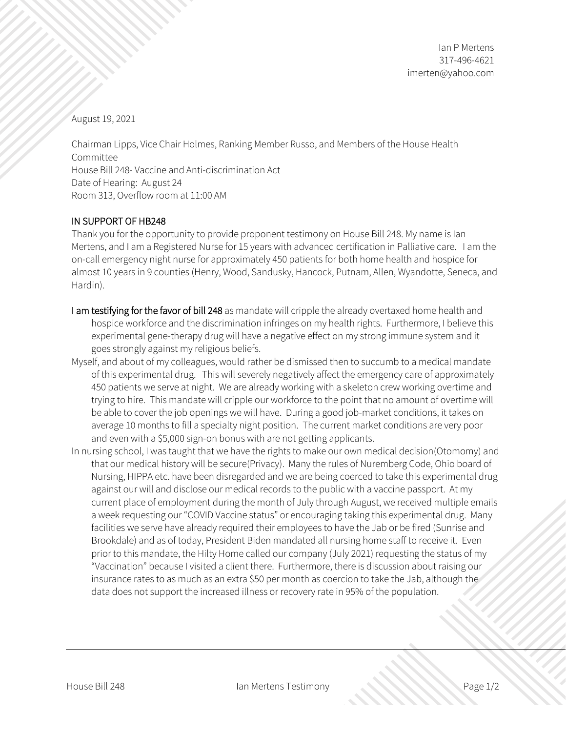August 19, 2021

Chairman Lipps, Vice Chair Holmes, Ranking Member Russo, and Members of the House Health Committee House Bill 248- Vaccine and Anti-discrimination Act Date of Hearing: August 24 Room 313, Overflow room at 11:00 AM

## IN SUPPORT OF HB248

Thank you for the opportunity to provide proponent testimony on House Bill 248. My name is Ian Mertens, and I am a Registered Nurse for 15 years with advanced certification in Palliative care. I am the on-call emergency night nurse for approximately 450 patients for both home health and hospice for almost 10 years in 9 counties (Henry, Wood, Sandusky, Hancock, Putnam, Allen, Wyandotte, Seneca, and Hardin).

- I am testifying for the favor of bill 248 as mandate will cripple the already overtaxed home health and hospice workforce and the discrimination infringes on my health rights. Furthermore, I believe this experimental gene-therapy drug will have a negative effect on my strong immune system and it goes strongly against my religious beliefs.
- Myself, and about of my colleagues, would rather be dismissed then to succumb to a medical mandate of this experimental drug. This will severely negatively affect the emergency care of approximately 450 patients we serve at night. We are already working with a skeleton crew working overtime and trying to hire. This mandate will cripple our workforce to the point that no amount of overtime will be able to cover the job openings we will have. During a good job-market conditions, it takes on average 10 months to fill a specialty night position. The current market conditions are very poor and even with a \$5,000 sign-on bonus with are not getting applicants.
- In nursing school, I was taught that we have the rights to make our own medical decision(Otomomy) and that our medical history will be secure(Privacy). Many the rules of Nuremberg Code, Ohio board of Nursing, HIPPA etc. have been disregarded and we are being coerced to take this experimental drug against our will and disclose our medical records to the public with a vaccine passport. At my current place of employment during the month of July through August, we received multiple emails a week requesting our "COVID Vaccine status" or encouraging taking this experimental drug. Many facilities we serve have already required their employees to have the Jab or be fired (Sunrise and Brookdale) and as of today, President Biden mandated all nursing home staff to receive it. Even prior to this mandate, the Hilty Home called our company (July 2021) requesting the status of my "Vaccination" because I visited a client there. Furthermore, there is discussion about raising our insurance rates to as much as an extra \$50 per month as coercion to take the Jab, although the data does not support the increased illness or recovery rate in 95% of the population.